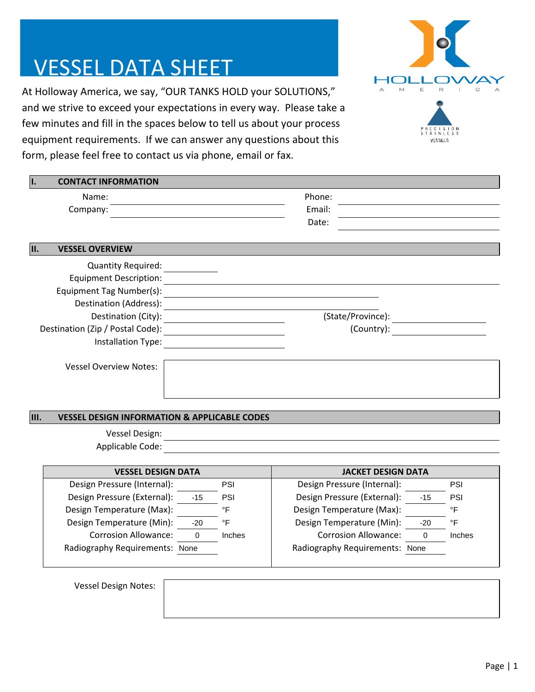## VESSEL DATA SHEET

At Holloway America, we say, "OUR TANKS HOLD your SOLUTIONS," and we strive to exceed your expectations in every way. Please take a few minutes and fill in the spaces below to tell us about your process equipment requirements. If we can answer any questions about this form, please feel free to contact us via phone, email or fax.



| <b>CONTACT INFORMATION</b>       |                   |
|----------------------------------|-------------------|
| Name:                            | Phone:            |
| Company:                         | Email:            |
|                                  | Date:             |
| <b>VESSEL OVERVIEW</b><br>II.    |                   |
| <b>Quantity Required:</b>        |                   |
| <b>Equipment Description:</b>    |                   |
| Equipment Tag Number(s):         |                   |
| Destination (Address):           |                   |
| Destination (City):              | (State/Province): |
| Destination (Zip / Postal Code): | (Country):        |
| Installation Type:               |                   |
| <b>Vessel Overview Notes:</b>    |                   |
|                                  |                   |
|                                  |                   |

## **III. VESSEL DESIGN INFORMATION & APPLICABLE CODES**

Vessel Design: Applicable Code:

| <b>VESSEL DESIGN DATA</b>      |       |            | <b>JACKET DESIGN DATA</b>      |       |        |
|--------------------------------|-------|------------|--------------------------------|-------|--------|
| Design Pressure (Internal):    |       | <b>PSI</b> | Design Pressure (Internal):    |       | PSI    |
| Design Pressure (External):    | -15   | <b>PSI</b> | Design Pressure (External):    | $-15$ | PSI    |
| Design Temperature (Max):      |       | °F         | Design Temperature (Max):      |       | ∘⊏     |
| Design Temperature (Min):      | $-20$ | °F         | Design Temperature (Min):      | $-20$ | ∘⊏     |
| <b>Corrosion Allowance:</b>    |       | Inches     | <b>Corrosion Allowance:</b>    |       | Inches |
| Radiography Requirements: None |       |            | Radiography Requirements: None |       |        |

Vessel Design Notes: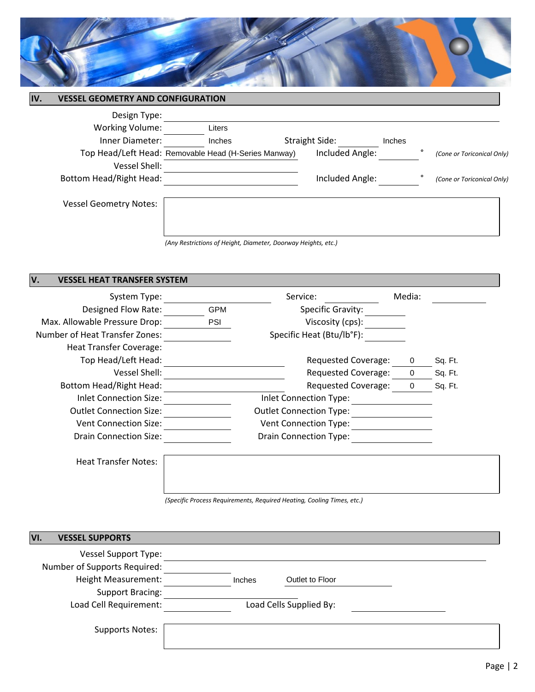

|                               | Liters |                                                                                                                                                   |                                                      |                       |                                    |                            |
|-------------------------------|--------|---------------------------------------------------------------------------------------------------------------------------------------------------|------------------------------------------------------|-----------------------|------------------------------------|----------------------------|
|                               | Inches |                                                                                                                                                   |                                                      | Inches                |                                    |                            |
|                               |        |                                                                                                                                                   |                                                      |                       | ۰                                  | (Cone or Toriconical Only) |
|                               |        |                                                                                                                                                   |                                                      |                       |                                    |                            |
|                               |        |                                                                                                                                                   |                                                      |                       |                                    | (Cone or Toriconical Only) |
| <b>Vessel Geometry Notes:</b> |        |                                                                                                                                                   |                                                      |                       |                                    |                            |
|                               |        |                                                                                                                                                   |                                                      |                       |                                    |                            |
|                               |        | <b>VESSEL GEOMETRY AND CONFIGURATION</b><br>Design Type:<br><b>Working Volume:</b><br>Inner Diameter:<br>Vessel Shell:<br>Bottom Head/Right Head: | Top Head/Left Head: Removable Head (H-Series Manway) | <b>Straight Side:</b> | Included Angle:<br>Included Angle: |                            |

*(Any Restrictions of Height, Diameter, Doorway Heights, etc.)*

## **V. VESSEL HEAT TRANSFER SYSTEM**

| System Type:                          |            | Service:                       | Media: |         |
|---------------------------------------|------------|--------------------------------|--------|---------|
| Designed Flow Rate:                   | <b>GPM</b> | <b>Specific Gravity:</b>       |        |         |
| Max. Allowable Pressure Drop:         | <b>PSI</b> | Viscosity (cps):               |        |         |
| <b>Number of Heat Transfer Zones:</b> |            | Specific Heat (Btu/lb°F):      |        |         |
| <b>Heat Transfer Coverage:</b>        |            |                                |        |         |
| Top Head/Left Head:                   |            | Requested Coverage:            | 0      | Sq. Ft. |
| Vessel Shell:                         |            | <b>Requested Coverage:</b>     |        | Sq. Ft. |
| Bottom Head/Right Head:               |            | Requested Coverage:            |        | Sq. Ft. |
| Inlet Connection Size:                |            | Inlet Connection Type:         |        |         |
| <b>Outlet Connection Size:</b>        |            | <b>Outlet Connection Type:</b> |        |         |
| <b>Vent Connection Size:</b>          |            | <b>Vent Connection Type:</b>   |        |         |
| <b>Drain Connection Size:</b>         |            | <b>Drain Connection Type:</b>  |        |         |
| <b>Heat Transfer Notes:</b>           |            |                                |        |         |

*(Specific Process Requirements, Required Heating, Cooling Times, etc.)*

| <b>VESSEL SUPPORTS</b><br>VI. |               |                         |  |
|-------------------------------|---------------|-------------------------|--|
| <b>Vessel Support Type:</b>   |               |                         |  |
| Number of Supports Required:  |               |                         |  |
| Height Measurement:           | <b>Inches</b> | Outlet to Floor         |  |
| <b>Support Bracing:</b>       |               |                         |  |
| Load Cell Requirement:        |               | Load Cells Supplied By: |  |
| <b>Supports Notes:</b>        |               |                         |  |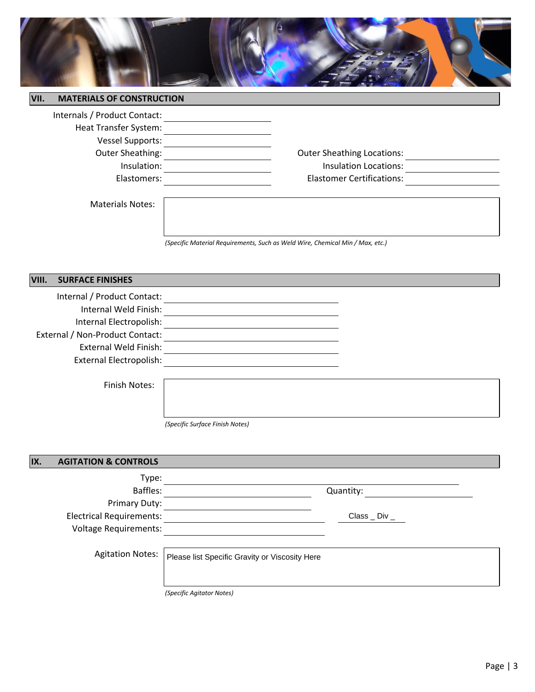

| VII. | <b>MATERIALS OF CONSTRUCTION</b> |                                   |  |
|------|----------------------------------|-----------------------------------|--|
|      | Internals / Product Contact:     |                                   |  |
|      | Heat Transfer System:            |                                   |  |
|      | <b>Vessel Supports:</b>          |                                   |  |
|      | Outer Sheathing:                 | <b>Outer Sheathing Locations:</b> |  |
|      | Insulation:                      | <b>Insulation Locations:</b>      |  |
|      | Elastomers:                      | <b>Elastomer Certifications:</b>  |  |
|      |                                  |                                   |  |

Materials Notes:

*(Specific Material Requirements, Such as Weld Wire, Chemical Min / Max, etc.)*

| VIII. | <b>SURFACE FINISHES</b>         |                                 |
|-------|---------------------------------|---------------------------------|
|       | Internal / Product Contact:     |                                 |
|       | Internal Weld Finish:           |                                 |
|       | Internal Electropolish:         |                                 |
|       | External / Non-Product Contact: |                                 |
|       | <b>External Weld Finish:</b>    |                                 |
|       | <b>External Electropolish:</b>  |                                 |
|       |                                 |                                 |
|       | Finish Notes:                   |                                 |
|       |                                 |                                 |
|       |                                 |                                 |
|       |                                 | (Specific Surface Finish Notes) |
|       |                                 |                                 |
|       |                                 |                                 |
| IX.   | <b>AGITATION &amp; CONTROLS</b> |                                 |
|       | Type:                           |                                 |
|       | Baffles:                        | Quantity:                       |
|       | Primary Duty:                   |                                 |
|       | <b>Electrical Requirements:</b> | $Class$ $\_ Div$ $\_$           |
|       | <b>Voltage Requirements:</b>    |                                 |
|       |                                 |                                 |

Agitation Notes: Please list Specific Gravity or Viscosity Here

*(Specific Agitator Notes)*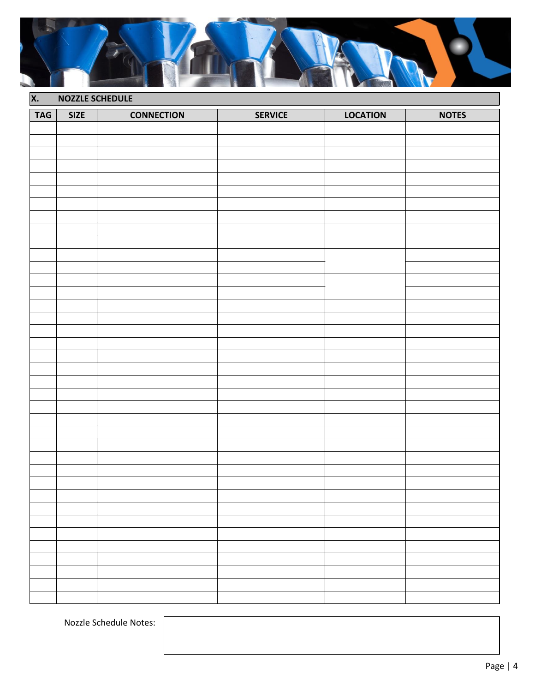

| <b>X.</b>  | <b>NOZZLE SCHEDULE</b> |                   |                |                 |              |
|------------|------------------------|-------------------|----------------|-----------------|--------------|
| <b>TAG</b> | <b>SIZE</b>            | <b>CONNECTION</b> | <b>SERVICE</b> | <b>LOCATION</b> | <b>NOTES</b> |
|            |                        |                   |                |                 |              |
|            |                        |                   |                |                 |              |
|            |                        |                   |                |                 |              |
|            |                        |                   |                |                 |              |
|            |                        |                   |                |                 |              |
|            |                        |                   |                |                 |              |
|            |                        |                   |                |                 |              |
|            |                        |                   |                |                 |              |
|            |                        |                   |                |                 |              |
|            |                        |                   |                |                 |              |
|            |                        |                   |                |                 |              |
|            |                        |                   |                |                 |              |
|            |                        |                   |                |                 |              |
|            |                        |                   |                |                 |              |
|            |                        |                   |                |                 |              |
|            |                        |                   |                |                 |              |
|            |                        |                   |                |                 |              |
|            |                        |                   |                |                 |              |
|            |                        |                   |                |                 |              |
|            |                        |                   |                |                 |              |
|            |                        |                   |                |                 |              |
|            |                        |                   |                |                 |              |
|            |                        |                   |                |                 |              |
|            |                        |                   |                |                 |              |
|            |                        |                   |                |                 |              |
|            |                        |                   |                |                 |              |
|            |                        |                   |                |                 |              |
|            |                        |                   |                |                 |              |
|            |                        |                   |                |                 |              |
|            |                        |                   |                |                 |              |
|            |                        |                   |                |                 |              |
|            |                        |                   |                |                 |              |
|            |                        |                   |                |                 |              |
|            |                        |                   |                |                 |              |
|            |                        |                   |                |                 |              |
|            |                        |                   |                |                 |              |
|            |                        |                   |                |                 |              |
|            |                        |                   |                |                 |              |

Nozzle Schedule Notes: